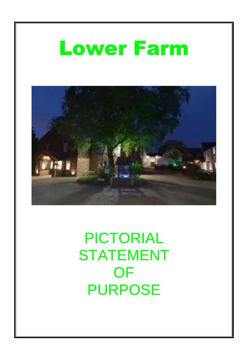### Lower Farm



PICTORIAL STATEMENT OF PURPOSE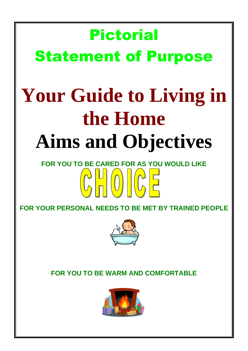## Pictorial Statement of Purpose **Your Guide to Living in the Home**

## **Aims and Objectives**

# **FOR YOU TO BE CARED FOR AS YOU WOULD LIKE**

**FOR YOUR PERSONAL NEEDS TO BE MET BY TRAINED PEOPLE**



**FOR YOU TO BE WARM AND COMFORTABLE**

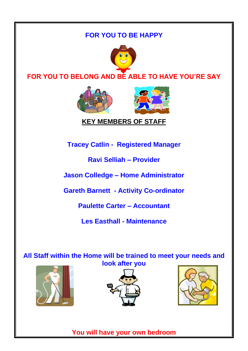#### **FOR YOU TO BE HAPPY**



#### **FOR YOU TO BELONG AND BE ABLE TO HAVE YOU'RE SAY**



#### **KEY MEMBERS OF STAFF**

**Tracey Catlin - Registered Manager**

**Ravi Selliah – Provider**

**Jason Colledge – Home Administrator**

**Gareth Barnett - Activity Co-ordinator**

**Paulette Carter – Accountant**

**Les Easthall - Maintenance**

**All Staff within the Home will be trained to meet your needs and look after you**







**You will have your own bedroom**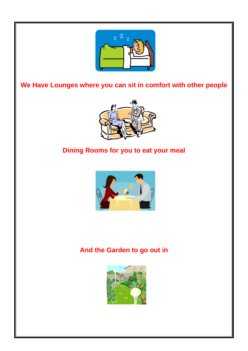

**We Have Lounges where you can sit in comfort with other people**



#### **Dining Rooms for you to eat your meal**



#### **And the Garden to go out in**

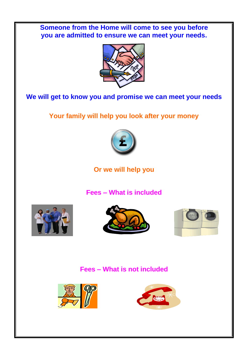**Someone from the Home will come to see you before you are admitted to ensure we can meet your needs.**



#### **We will get to know you and promise we can meet your needs**

**Your family will help you look after your money**



**Or we will help you**

**Fees – What is included**







**Fees – What is not included**



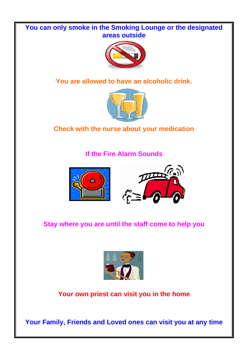## **You can only smoke in the Smoking Lounge or the designated areas outside You are allowed to have an alcoholic drink. Check with the nurse about your medication If the Fire Alarm Sounds**  $\mathbb{Z}^{\mathcal{P}}$ **Stay where you are until the staff come to help you Your own priest can visit you in the home Your Family, Friends and Loved ones can visit you at any time**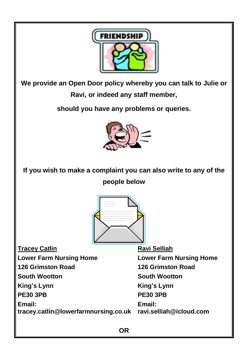

**We provide an Open Door policy whereby you can talk to Julie or Ravi, or indeed any staff member,** 

**should you have any problems or queries.** 



**If you wish to make a complaint you can also write to any of the people below**



**Tracey Catlin Ravi Selliah Lower Farm Nursing Home Lower Farm Nursing Home 126 Grimston Road 126 Grimston Road South Wootton South Wootton** King's Lynn **King's Lynn PE30 3PB PE30 3PB Email: Email: tracey.catlin@lowerfarmnursing.co.uk ravi.selliah@icloud.com**